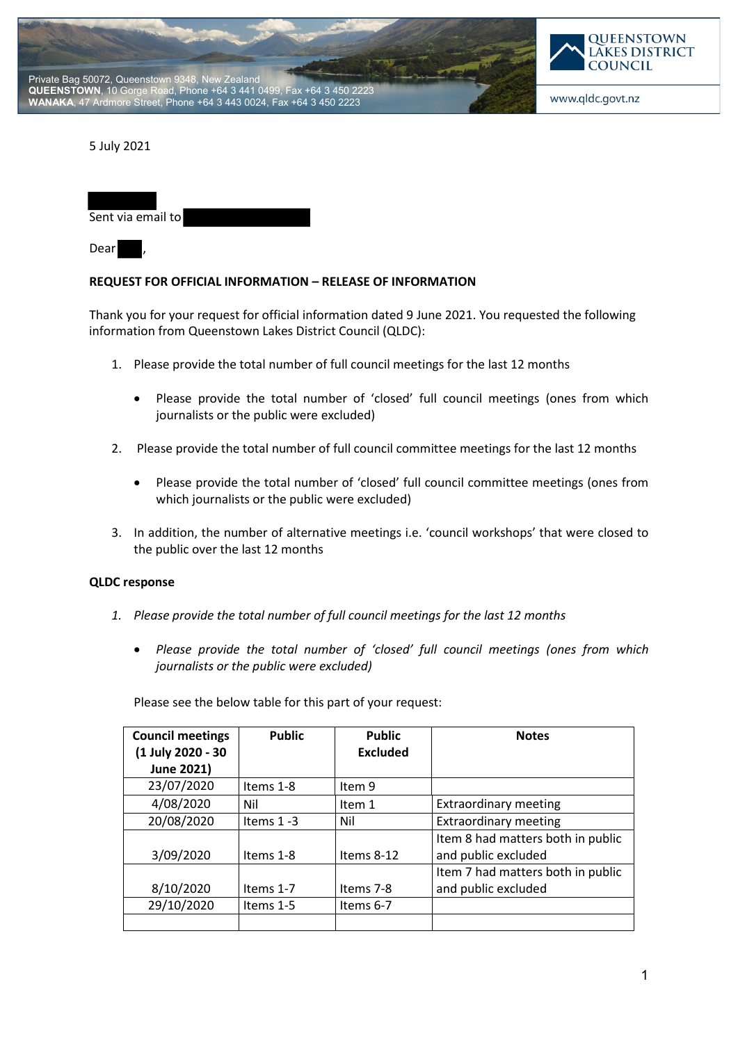



5 July 2021

| Sent via email to |  |  |  |
|-------------------|--|--|--|
|                   |  |  |  |

Dear

## **REQUEST FOR OFFICIAL INFORMATION – RELEASE OF INFORMATION**

Thank you for your request for official information dated 9 June 2021. You requested the following information from Queenstown Lakes District Council (QLDC):

- 1. Please provide the total number of full council meetings for the last 12 months
	- Please provide the total number of 'closed' full council meetings (ones from which journalists or the public were excluded)
- 2. Please provide the total number of full council committee meetings for the last 12 months
	- Please provide the total number of 'closed' full council committee meetings (ones from which journalists or the public were excluded)
- 3. In addition, the number of alternative meetings i.e. 'council workshops' that were closed to the public over the last 12 months

## **QLDC response**

- *1. Please provide the total number of full council meetings for the last 12 months* 
	- *Please provide the total number of 'closed' full council meetings (ones from which journalists or the public were excluded)*

Please see the below table for this part of your request:

| <b>Council meetings</b><br>(1 July 2020 - 30 | <b>Public</b> | <b>Public</b><br><b>Excluded</b> | <b>Notes</b>                      |
|----------------------------------------------|---------------|----------------------------------|-----------------------------------|
| June 2021)                                   |               |                                  |                                   |
| 23/07/2020                                   | Items 1-8     | Item 9                           |                                   |
| 4/08/2020                                    | Nil           | Item 1                           | <b>Extraordinary meeting</b>      |
| 20/08/2020                                   | Items $1 - 3$ | Nil                              | <b>Extraordinary meeting</b>      |
|                                              |               |                                  | Item 8 had matters both in public |
| 3/09/2020                                    | Items 1-8     | Items $8-12$                     | and public excluded               |
|                                              |               |                                  | Item 7 had matters both in public |
| 8/10/2020                                    | Items 1-7     | Items 7-8                        | and public excluded               |
| 29/10/2020                                   | Items 1-5     | Items 6-7                        |                                   |
|                                              |               |                                  |                                   |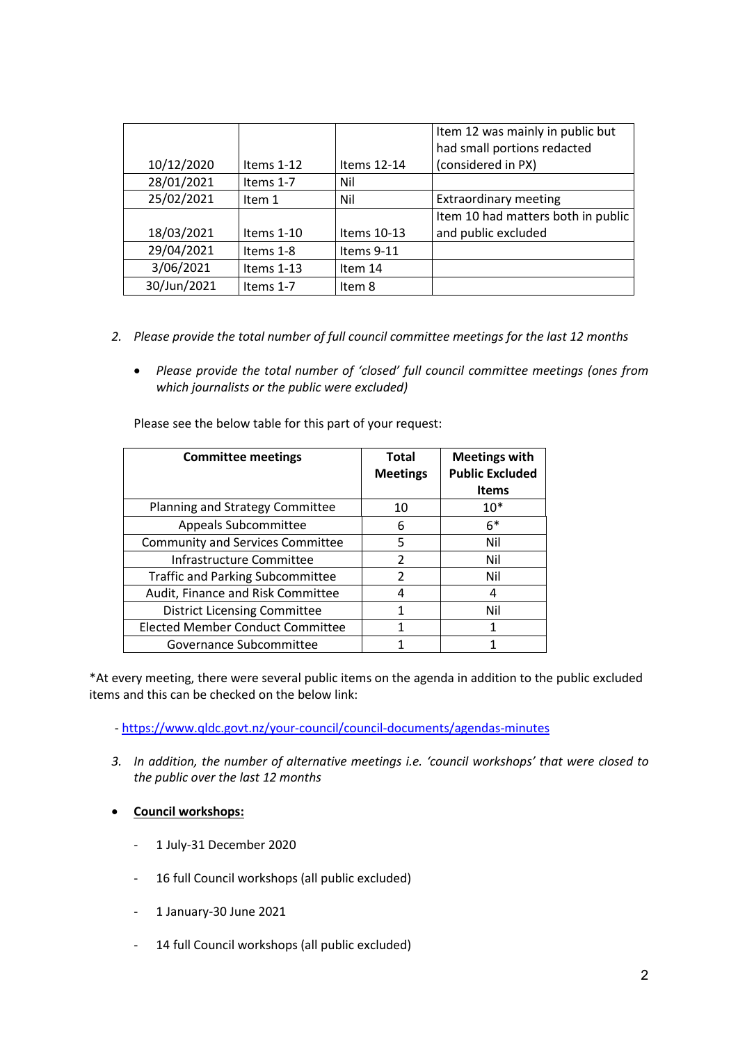|             |              |             | Item 12 was mainly in public but   |  |
|-------------|--------------|-------------|------------------------------------|--|
|             |              |             | had small portions redacted        |  |
| 10/12/2020  | Items $1-12$ | Items 12-14 | (considered in PX)                 |  |
| 28/01/2021  | Items 1-7    | Nil         |                                    |  |
| 25/02/2021  | Item 1       | Nil         | <b>Extraordinary meeting</b>       |  |
|             |              |             | Item 10 had matters both in public |  |
| 18/03/2021  | Items $1-10$ | Items 10-13 | and public excluded                |  |
| 29/04/2021  | Items 1-8    | Items 9-11  |                                    |  |
| 3/06/2021   | Items $1-13$ | Item 14     |                                    |  |
| 30/Jun/2021 | Items 1-7    | Item 8      |                                    |  |

- *2. Please provide the total number of full council committee meetings for the last 12 months* 
	- *Please provide the total number of 'closed' full council committee meetings (ones from which journalists or the public were excluded)*

Please see the below table for this part of your request:

| <b>Committee meetings</b>               | <b>Total</b><br><b>Meetings</b> | <b>Meetings with</b><br><b>Public Excluded</b><br><b>Items</b> |
|-----------------------------------------|---------------------------------|----------------------------------------------------------------|
| Planning and Strategy Committee         | 10                              | $10*$                                                          |
| Appeals Subcommittee                    | 6                               | $6*$                                                           |
| <b>Community and Services Committee</b> | 5                               | Nil                                                            |
| Infrastructure Committee                | $\mathfrak{p}$                  | Nil                                                            |
| <b>Traffic and Parking Subcommittee</b> | $\mathcal{P}$                   | Nil                                                            |
| Audit, Finance and Risk Committee       | 4                               | 4                                                              |
| <b>District Licensing Committee</b>     | 1                               | Nil                                                            |
| <b>Elected Member Conduct Committee</b> |                                 | 1                                                              |
| Governance Subcommittee                 |                                 |                                                                |

\*At every meeting, there were several public items on the agenda in addition to the public excluded items and this can be checked on the below link:

- https://www.qldc.govt.nz/your-council/council-documents/agendas-minutes
- *3. In addition, the number of alternative meetings i.e. 'council workshops' that were closed to the public over the last 12 months*
- **Council workshops:**
	- 1 July-31 December 2020
	- 16 full Council workshops (all public excluded)
	- 1 January-30 June 2021
	- 14 full Council workshops (all public excluded)